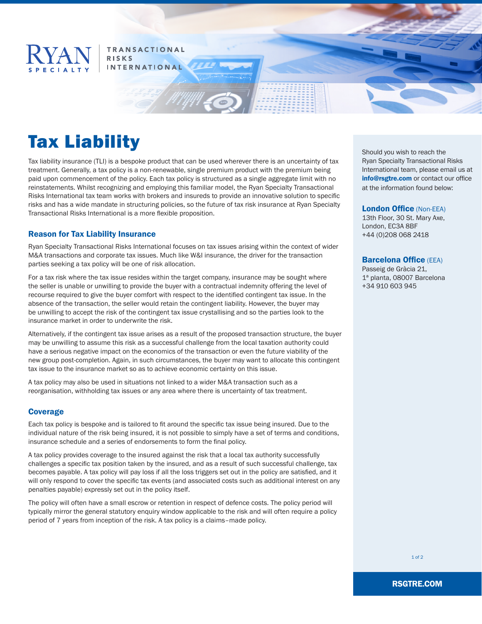

# **TRANSACTIONAL RISKS INTERNATIONAL**

# Tax Liability

Tax liability insurance (TLI) is a bespoke product that can be used wherever there is an uncertainty of tax treatment. Generally, a tax policy is a non-renewable, single premium product with the premium being paid upon commencement of the policy. Each tax policy is structured as a single aggregate limit with no reinstatements. Whilst recognizing and employing this familiar model, the Ryan Specialty Transactional Risks International tax team works with brokers and insureds to provide an innovative solution to specific risks and has a wide mandate in structuring policies, so the future of tax risk insurance at Ryan Specialty Transactional Risks International is a more flexible proposition.

# Reason for Tax Liability Insurance

Ryan Specialty Transactional Risks International focuses on tax issues arising within the context of wider M&A transactions and corporate tax issues. Much like W&I insurance, the driver for the transaction parties seeking a tax policy will be one of risk allocation.

For a tax risk where the tax issue resides within the target company, insurance may be sought where the seller is unable or unwilling to provide the buyer with a contractual indemnity offering the level of recourse required to give the buyer comfort with respect to the identified contingent tax issue. In the absence of the transaction, the seller would retain the contingent liability. However, the buyer may be unwilling to accept the risk of the contingent tax issue crystallising and so the parties look to the insurance market in order to underwrite the risk.

Alternatively, if the contingent tax issue arises as a result of the proposed transaction structure, the buyer may be unwilling to assume this risk as a successful challenge from the local taxation authority could have a serious negative impact on the economics of the transaction or even the future viability of the new group post-completion. Again, in such circumstances, the buyer may want to allocate this contingent tax issue to the insurance market so as to achieve economic certainty on this issue.

A tax policy may also be used in situations not linked to a wider M&A transaction such as a reorganisation, withholding tax issues or any area where there is uncertainty of tax treatment.

## Coverage

Each tax policy is bespoke and is tailored to fit around the specific tax issue being insured. Due to the individual nature of the risk being insured, it is not possible to simply have a set of terms and conditions, insurance schedule and a series of endorsements to form the final policy.

A tax policy provides coverage to the insured against the risk that a local tax authority successfully challenges a specific tax position taken by the insured, and as a result of such successful challenge, tax becomes payable. A tax policy will pay loss if all the loss triggers set out in the policy are satisfied, and it will only respond to cover the specific tax events (and associated costs such as additional interest on any penalties payable) expressly set out in the policy itself.

The policy will often have a small escrow or retention in respect of defence costs. The policy period will typically mirror the general statutory enquiry window applicable to the risk and will often require a policy period of 7 years from inception of the risk. A tax policy is a claims–made policy.

Should you wish to reach the Ryan Specialty Transactional Risks International team, please email us at info@rsgtre.com or contact our office at the information found below:

#### London Office (Non-EEA)

13th Floor, 30 St. Mary Axe, London, EC3A 8BF +44 (0)208 068 2418

#### Barcelona Office (EEA)

Passeig de Gràcia 21, 1ª planta, 08007 Barcelona +34 910 603 945

RSGTRE.COM